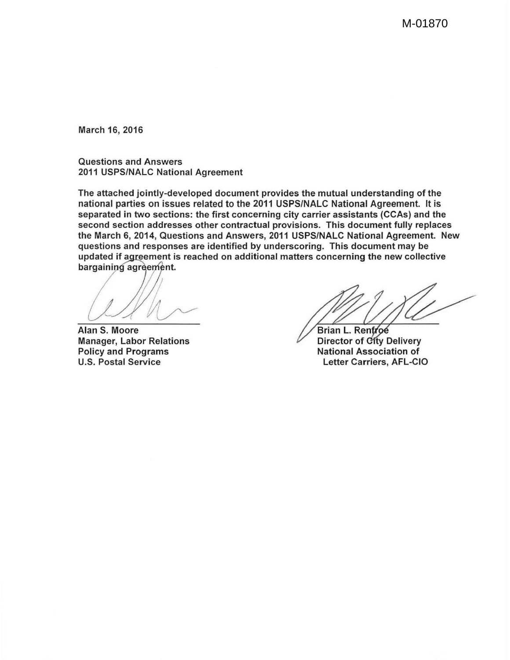M-01870

March 16, 2016

Questions and Answers 2011 USPS/NALC National Agreement

The attached jointly-developed document provides the mutual understanding of the national parties on issues related to the 2011 USPS/NALC National Agreement. It is separated in two sections: the first concerning city carrier assistants (CCAs) and the second section addresses other contractual provisions. This document fully replaces the March 6, 2014, Questions and Answers, 2011 USPS/NALC National Agreement. New questions and responses are identified by underscoring. This document may be updated if agreement is reached on additional matters concerning the new collective bargaining agreement.

Alan S. Moore Manager, Labor Relations Policy and Programs U.S. Postal Service

Brian L. Ren Director of City Delivery National Association of Letter Carriers, AFL-CIO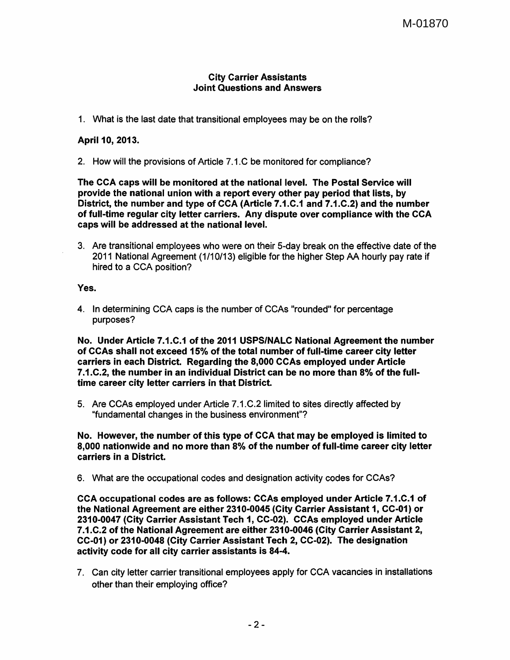## City Carrier Assistants Joint Questions and Answers

1. What is the last date that transitional employees may be on the rolls?

## April 10, 2013.

2. How will the provisions of Article 7.1.C be monitored for compliance?

The CCA caps will be monitored at the national level. The Postal Service will provide the national union with a report every other pay period that lists, by District, the number and type of CCA (Article 7.1.C.1 and 7.1.C.2) and the number of full-time regular city letter carriers. Any dispute over compliance with the CCA caps will be addressed at the national level.

3. Are transitional employees who were on their 5-day break on the effective date of the 2011 National Agreement ( 1/10/13) eligible for the higher Step AA hourly pay rate if hired to a CCA position?

Yes.

4. In determining CCA caps is the number of CCAs "rounded" for percentage purposes?

No. Under Article 7.1.C.1 of the 2011 USPS/NALC National Agreement the number of CCAs shall not exceed 15% of the total number of full-time career city letter carriers in each District. Regarding the 8,000 CCAs employed under Article 7 .1.C.2, the number in an individual District can be no more than 8% of the fulltime career city letter carriers in that District.

5. Are CCAs employed under Article 7.1.C.2 limited to sites directly affected by "fundamental changes in the business environment"?

No. However, the number of this type of CCA that may be employed is limited to 8,000 nationwide and no more than 8% of the number of full-time career city letter carriers in a District.

6. What are the occupational codes and designation activity codes for CCAs?

CCA occupational codes are as follows: CCAs employed under Article 7.1.C.1 of the National Agreement are either 2310-0045 (City Carrier Assistant 1, CC-01) or 2310-0047 (City Carrier Assistant Tech 1, CC-02). CCAs employed under Article 7 .1.C.2 of the National Agreement are either 2310-0046 (City Carrier Assistant 2, CC-01) or 2310-0048 (City Carrier Assistant Tech 2, CC-02). The designation activity code for all city carrier assistants is 84-4.

7. Can city letter carrier transitional employees apply for CCA vacancies in installations other than their employing office?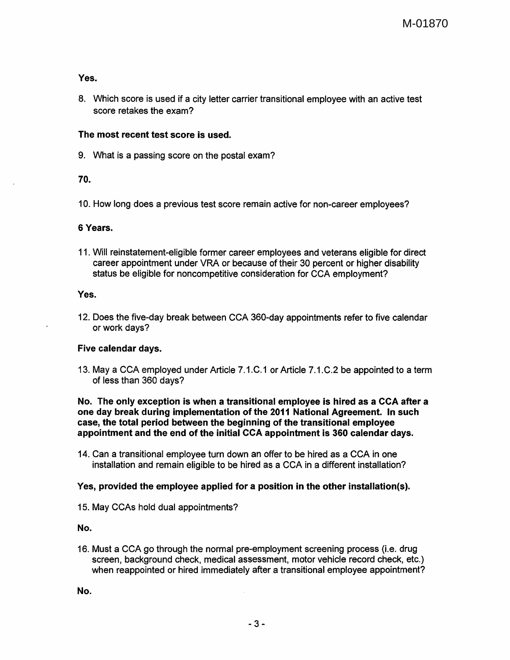## Yes.

8. Which score is used if a city letter carrier transitional employee with an active test score retakes the exam?

## The most recent test score is used.

9. What is a passing score on the postal exam?

## 70.

10. How long does a previous test score remain active for non-career employees?

#### 6 Years.

11. Will reinstatement-eligible former career employees and veterans eligible for direct career appointment under VRA or because of their 30 percent or higher disability status be eligible for noncompetitive consideration for CCA employment?

#### Yes.

12. Does the five-day break between CCA 360-day appointments refer to five calendar or work days?

#### Five calendar days.

13. May a CCA employed under Article 7.1.C.1 or Article 7.1.C.2 be appointed to a term of less than 360 days?

#### No. The only exception is when a transitional employee is hired as a CCA after a one day break during implementation of the 2011 National Agreement. In such case, the total period between the beginning of the transitional employee appointment and the end of the initial CCA appointment is 360 calendar days.

14. Can a transitional employee turn down an offer to be hired as a CCA in one installation and remain eligible to be hired as a CCA in a different installation?

# Yes, provided the employee applied for a position in the other installation(s).

15. May CCAs hold dual appointments?

No.

16. Must a CCA go through the normal pre-employment screening process (i.e. drug screen, background check, medical assessment, motor vehicle record check, etc.) when reappointed or hired immediately after a transitional employee appointment?

No.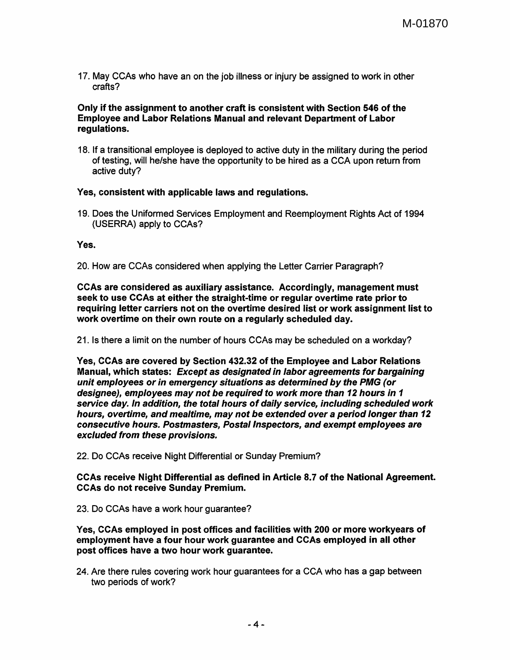17. May CCAs who have an on the job illness or injury be assigned to work in other crafts?

## Only if the assignment to another craft is consistent with Section 546 of the Employee and Labor Relations Manual and relevant Department of Labor regulations.

18. If a transitional employee is deployed to active duty in the military during the period of testing, will he/she have the opportunity to be hired as a CCA upon return from active duty?

# Yes, consistent with applicable laws and regulations.

19. Does the Uniformed Services Employment and Reemployment Rights Act of 1994 (USERRA) apply to CCAs?

## Yes.

20. How are CCAs considered when applying the Letter Carrier Paragraph?

CCAs are considered as auxiliary assistance. Accordingly, management must seek to use CCAs at either the straight-time or regular overtime rate prior to requiring letter carriers not on the overtime desired list or work assignment list to work overtime on their own route on a regularly scheduled day.

21. Is there a limit on the number of hours CCAs may be scheduled on a workday?

Yes, CCAs are covered by Section 432.32 of the Employee and Labor Relations Manual, which states: Except as designated in labor agreements for bargaining unit employees or in emergency situations as determined by the PMG (or designee), employees may not be required to work more than 12 hours in 1 service day. In addition, the total hours of daily service, including scheduled work hours, overtime, and mealtime, may not be extended over a period longer than 12 consecutive hours. Postmasters, Postal Inspectors, and exempt employees are excluded from these provisions.

22. Do CCAs receive Night Differential or Sunday Premium?

CCAs receive Night Differential as defined in Article 8.7 of the National Agreement. CCAs do not receive Sunday Premium.

23. Do CCAs have a work hour guarantee?

Yes, CCAs employed in post offices and facilities with 200 or more workyears of employment have a four hour work guarantee and CCAs employed in all other post offices have a two hour work guarantee.

24. Are there rules covering work hour guarantees for a CCA who has a gap between two periods of work?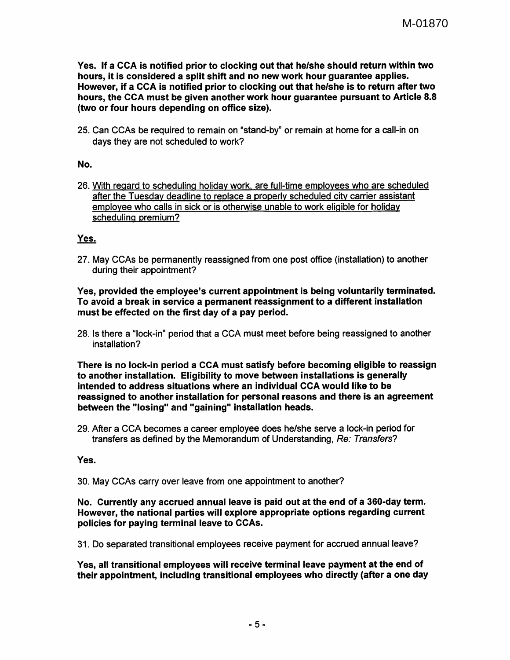Yes. If a CCA is notified prior to clocking out that he/she should return within two hours, it is considered a split shift and no new work hour guarantee applies. However, if a CCA is notified prior to clocking out that he/she is to return after two hours, the CCA must be given another work hour guarantee pursuant to Article 8.8 (two or four hours depending on office size).

25. Can CCAs be required to remain on "stand-by" or remain at home for a call-in on days they are not scheduled to work?

# No.

26. With regard to scheduling holiday work. are full-time employees who are scheduled after the Tuesday deadline to replace a properly scheduled city carrier assistant employee who calls in sick or is otherwise unable to work eligible for holiday scheduling premium?

# Yes.

27. May CCAs be permanently reassigned from one post office (installation) to another during their appointment?

## Yes, provided the employee's current appointment is being voluntarily terminated. To avoid a break in service a permanent reassignment to a different installation must be effected on the first day of a pay period.

28. Is there a "lock-in" period that a CCA must meet before being reassigned to another installation?

There is no lock-in period a CCA must satisfy before becoming eligible to reassign to another installation. Eligibility to move between installations is generally intended to address situations where an individual CCA would like to be reassigned to another installation for personal reasons and there is an agreement between the "losing" and "gaining" installation heads.

29. After a CCA becomes a career employee does he/she serve a lock-in period for transfers as defined by the Memorandum of Understanding, Re: Transfers?

# Yes.

30. May CCAs carry over leave from one appointment to another?

#### No. Currently any accrued annual leave is paid out at the end of a 360-day term. However, the national parties will explore appropriate options regarding current policies for paying terminal leave to CCAs.

31. Do separated transitional employees receive payment for accrued annual leave?

Yes, all transitional employees will receive terminal leave payment at the end of their appointment, including transitional employees who directly (after a one day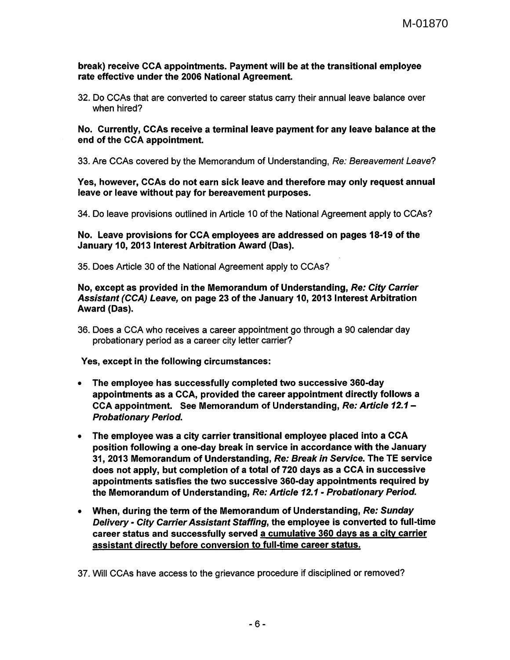#### break) receive CCA appointments. Payment will be at the transitional employee rate effective under the 2006 National Agreement.

32. Do CCAs that are converted to career status carry their annual leave balance over when hired?

No. Currently, CCAs receive a terminal leave payment for any leave balance at the end of the CCA appointment.

33. Are CCAs covered by the Memorandum of Understanding, Re: Bereavement Leave?

Yes, however, CCAs do not earn sick leave and therefore may only request annual leave or leave without pay for bereavement purposes.

34. Do leave provisions outlined in Article 10 of the National Agreement apply to CCAs?

No. Leave provisions for CCA employees are addressed on pages 18-19 of the January 10, 2013 Interest Arbitration Award (Das).

35. Does Article 30 of the National Agreement apply to CCAs?

#### No, except as provided in the Memorandum of Understanding, Re: City Carrier Assistant (CCA) Leave, on page 23 of the January 10, 2013 Interest Arbitration Award (Das).

36. Does a CCA who receives a career appointment go through a 90 calendar day probationary period as a career city letter carrier?

Yes, except in the following circumstances:

- The employee has successfully completed two successive 360-day appointments as a CCA, provided the career appointment directly follows a CCA appointment. See Memorandum of Understanding, Re: Article 12.1 -Probationary Period.
- The employee was a city carrier transitional employee placed into a CCA position following a one-day break in service in accordance with the January 31, 2013 Memorandum of Understanding, Re: Break in Service. The TE service does not apply, but completion of a total of 720 days as a CCA in successive appointments satisfies the two successive 360-day appointments required by the Memorandum of Understanding, Re: Article 12.1- Probationary Period.
- When, during the term of the Memorandum of Understanding, Re: Sunday Delivery - City Carrier Assistant Staffing, the employee is converted to full-time career status and successfully served a cumulative 360 days as a city carrier assistant directly before conversion to full-time career status.

37. Will CCAs have access to the grievance procedure if disciplined or removed?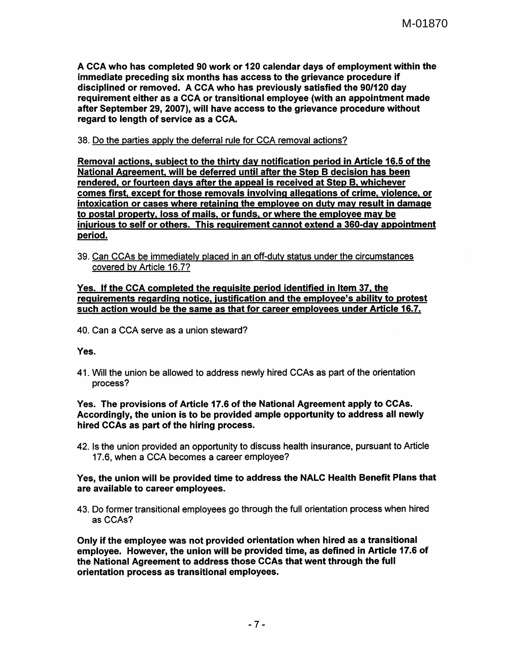A CCA who has completed 90 work or 120 calendar days of employment within the immediate preceding six months has access to the grievance procedure if disciplined or removed. A CCA who has previously satisfied the 90/120 day requirement either as a CCA or transitional employee (with an appointment made after September 29, 2007), will have access to the grievance procedure without regard to length of service as a CCA.

38. Do the parties apply the deferral rule for CCA removal actions?

Removal actions, subject to the thirty day notification period in Article 16.5 of the National Agreement, will be deferred until after the Step B decision has been rendered, or fourteen days after the appeal is received at Step B, whichever comes first, except for those removals involving allegations of crime, violence, or intoxication or cases where retaining the employee on duty may result in damage to postal property, loss of mails, or funds. or where the employee may be injurious to self or others. This requirement cannot extend a 360-day appointment period.

39. Can CCAs be immediately placed in an off-duty status under the circumstances covered by Article 16. 7?

## Yes. If the CCA completed the requisite period identified in Item 37, the requirements regarding notice, justification and the employee's ability to protest such action would be the same as that for career employees under Article 16.7.

40. Can a CCA serve as a union steward?

Yes.

41. Will the union be allowed to address newly hired CCAs as part of the orientation process?

## Yes. The provisions of Article 17.6 of the National Agreement apply to CCAs. Accordingly, the union is to be provided ample opportunity to address all newly hired CCAs as part of the hiring process.

42. Is the union provided an opportunity to discuss health insurance, pursuant to Article 17.6, when a CCA becomes a career employee?

## Yes, the union will be provided time to address the NALC Health Benefit Plans that are available to career employees.

43. Do former transitional employees go through the full orientation process when hired as CCAs?

Only if the employee was not provided orientation when hired as a transitional employee. However, the union will be provided time, as defined in Article 17.6 of the National Agreement to address those CCAs that went through the full orientation process as transitional employees.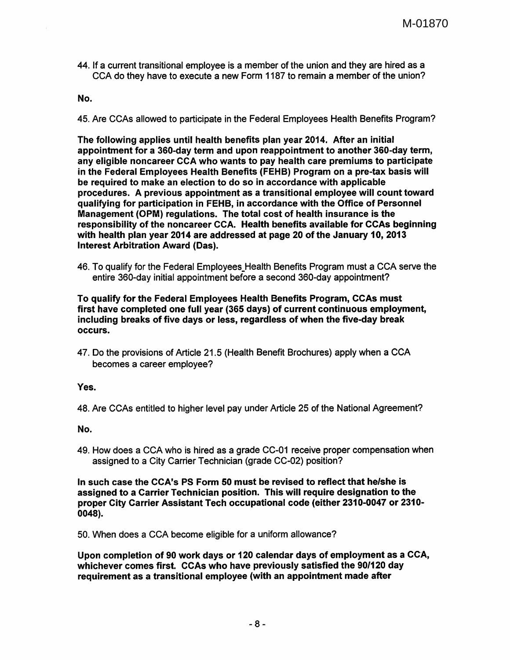44. If a current transitional employee is a member of the union and they are hired as a CCA do they have to execute a new Form 1187 to remain a member of the union?

#### No.

45. Are CCAs allowed to participate in the Federal Employees Health Benefits Program?

The following applies until health benefits plan year 2014. After an initial appointment for a 360-day term and upon reappointment to another 360-day term, any eligible noncareer CCA who wants to pay health care premiums to participate in the Federal Employees Health Benefits (FEHB) Program on a pre-tax basis will be required to make an election to do so in accordance with applicable procedures. A previous appointment as a transitional employee will count toward qualifying for participation in FEHB, in accordance with the Office of Personnel Management (OPM) regulations. The total cost of health insurance is the responsibility of the noncareer CCA. Health benefits available for CCAs beginning with health plan year 2014 are addressed at page 20 of the January 10, 2013 Interest Arbitration Award (Das).

46. To qualify for the Federal Employees Health Benefits Program must a CCA serve the entire 360-day initial appointment before a second 360-day appointment?

To qualify for the Federal Employees Health Benefits Program, CCAs must first have completed one full year (365 days) of current continuous employment, including breaks of five days or less, regardless of when the five-day break occurs.

47. Do the provisions of Article 21.5 (Health Benefit Brochures) apply when a CCA becomes a career employee?

#### Yes.

48. Are CCAs entitled to higher level pay under Article 25 of the National Agreement?

No.

49. How does a CCA who is hired as a grade CC-01 receive proper compensation when assigned to a City Carrier Technician (grade CC-02) position?

In such case the CCA's PS Form 50 must be revised to reflect that he/she is assigned to a Carrier Technician position. This will require designation to the proper City Carrier Assistant Tech occupational code (either 2310-0047 or 2310- 0048).

50. When does a CCA become eligible for a uniform allowance?

Upon completion of 90 work days or 120 calendar days of employment as a CCA, whichever comes first. CCAs who have previously satisfied the 90/120 day requirement as a transitional employee (with an appointment made after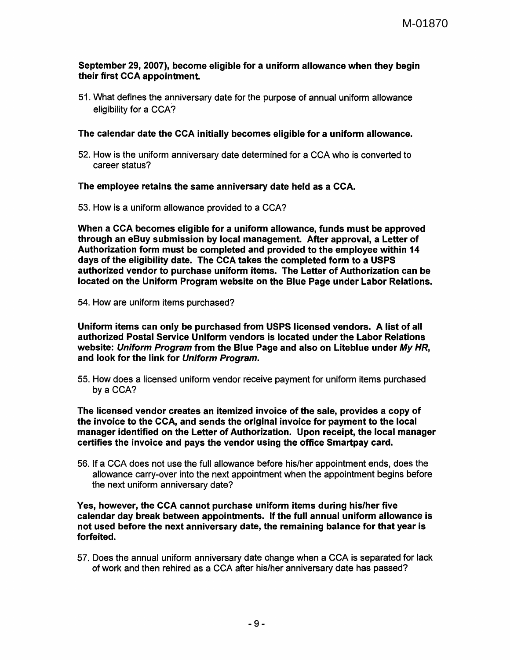## September 29, 2007), become eligible for a uniform allowance when they begin their first CCA appointment

51. What defines the anniversary date for the purpose of annual uniform allowance eligibility for a CCA?

# The calendar date the CCA initially becomes eligible for a uniform allowance.

52. How is the uniform anniversary date determined for a CCA who is converted to career status?

The employee retains. the same anniversary date held as a CCA.

53. How is a uniform allowance provided to a CCA?

When a CCA becomes eligible for a uniform allowance, funds must be approved through an eBuy submission by local management. After approval, a Letter of Authorization form must be completed and provided to the employee within 14 days of the eligibility date. The CCA takes the completed form to a USPS authorized vendor to purchase uniform items. The Letter of Authorization can be located on the Uniform Program website on the Blue Page under Labor Relations.

54. How are uniform items purchased?

Uniform items can only be purchased from USPS licensed vendors. A list of all authorized Postal Service Uniform vendors is located under the Labor Relations website: Uniform Program from the Blue Page and also on Liteblue under My HR, and look for the link for Uniform Program.

55. How does a licensed uniform vendor receive payment for uniform items purchased by a CCA?

The licensed vendor creates an itemized invoice of the sale, provides a copy of the invoice to the CCA, and sends the original invoice for payment to the local manager identified on the Letter of Authorization. Upon receipt, the local manager certifies the invoice and pays the vendor using the office Smartpay card.

56. If a CCA does not use the full allowance before his/her appointment ends, does the allowance carry-over into the next appointment when the appointment begins before the next uniform anniversary date?

Yes, however, the CCA cannot purchase uniform items during his/her five calendar day break between appointments. If the full annual uniform allowance is not used before the next anniversary date, the remaining balance for that year is forfeited.

57. Does the annual uniform anniversary date change when a CCA is separated for lack of work and then rehired as a CCA after his/her anniversary date has passed?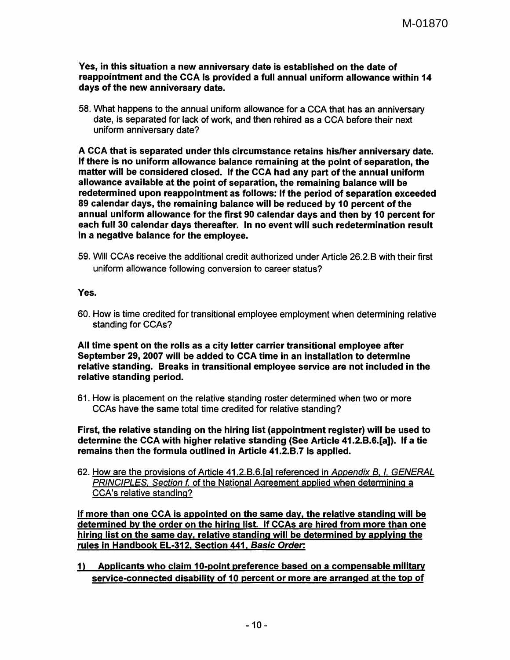Yes, in this situation a new anniversary date is established on the date of reappointment and the CCA is provided a full annual uniform allowance within 14 days of the new anniversary date.

58. What happens to the annual uniform allowance for a CCA that has an anniversary date, is separated for lack of work, and then rehired as a CCA before their next uniform anniversary date?

A CCA that is separated under this circumstance retains his/her anniversary date. If there is no uniform allowance balance remaining at the point of separation, the matter will be considered closed. If the CCA had any part of the annual uniform allowance available at the point of separation, the remaining balance will be redetermined upon reappointment as follows: If the period of separation exceeded 89 calendar days, the remaining balance will be reduced by 10 percent of the annual uniform allowance for the first 90 calendar days and then by 10 percent for each full 30 calendar days thereafter. In no event will such redetermination result in a negative balance for the employee.

59. Will CCAs receive the additional credit authorized under Article 26.2.B with their first uniform allowance following conversion to career status?

## Yes.

60. How is time credited for transitional employee employment when determining relative standing for CCAs?

All time spent on the rolls as a city letter carrier transitional employee after September 29, 2007 will be added to CCA time in an installation to determine relative standing. Breaks in transitional employee service are not included in the relative standing period.

61. How is placement on the relative standing roster determined when two or more CCAs have the same total time credited for relative standing?

First, the relative standing on the hiring list (appointment register) will be used to determine the CCA with higher relative standing (See Article 41.2.8.6.[a]). If a tie remains then the formula outlined in Article 41.2.B.7 is applied.

62. How are the provisions of Article 41.2.B.6.[a] referenced in Appendix B. I. GENERAL PRINCIPLES. Section f. of the National Agreement applied when determining a CCA's relative standing?

If more than one CCA is appointed on the same day. the relative standing will be determined by the order on the hiring list. If CCAs are hired from more than one hiring list on the same day. relative standing will be determined by applying the rules in Handbook EL-312. Section 441. Basic Order:

1) Applicants who claim 10-point preference based on a compensable military service-connected disability of 10 percent or more are arranged at the top of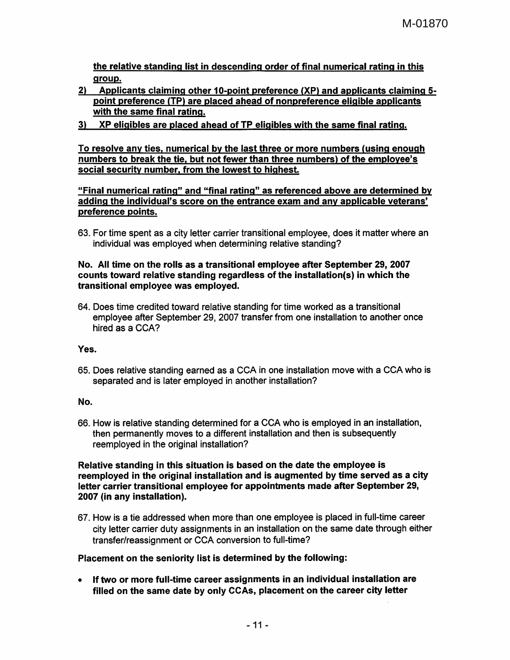the relative standing list in descending order of final numerical rating in this group.

- 2) Applicants claiming other 10-point preference (XP) and applicants claiming 5 point preference (TP) are placed ahead of nonpreference eligible applicants with the same final rating.
- 3) XP eligibles are placed ahead of TP eligibles with the same final rating.

To resolve any ties, numerical by the last three or more numbers (using enough numbers to break the tie, but not fewer than three numbers) of the employee's social security number. from the lowest to highest.

"Final numerical rating" and "final rating" as referenced above are determined by adding the individual's score on the entrance exam and any applicable veterans' preference points.

63. For time spent as a city letter carrier transitional employee, does it matter where an individual was employed when determining relative standing?

## No. All time on the rolls as a transitional employee after September 29, 2007 counts toward relative standing regardless of the installation(s) in which the transitional employee was employed.

64. Does time credited toward relative standing for time worked as a transitional employee after September 29, 2007 transfer from one installation to another once hired as a CCA?

Yes.

65. Does relative standing earned as a CCA in one installation move with a CCA who is separated and is later employed in another installation?

# No.

66. How is relative standing determined for a CCA who is employed in an installation, then permanently moves to a different installation and then is subsequently reemployed in the original installation?

Relative standing in this situation is based on the date the employee is reemployed in the original installation and is augmented by time served as a city letter carrier transitional employee for appointments made after September 29, 2007 (in any installation).

67. How is a tie addressed when more than one employee is placed in full-time career city letter carrier duty assignments in an installation on the same date through either transfer/reassignment or CCA conversion to full-time?

# Placement on the seniority list is determined by the following:

• If two or more full-time career assignments in an individual installation are filled on the same date by only CCAs, placement on the career city letter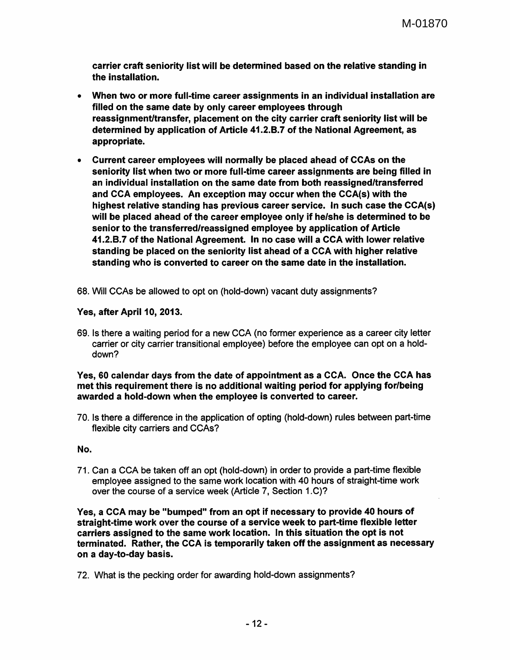carrier craft seniority list will be determined based on the relative standing in the installation.

- When two or more full-time career assignments in an individual installation are filled on the same date by only career employees through reassignment/transfer, placement on the city carrier craft seniority list will be determined by application of Article 41.2.B.7 of the National Agreement, as appropriate.
- Current career employees will normally be placed ahead of CCAs on the seniority list when two or more full-time career assignments are being filled in an individual installation on the same date from both reassigned/transferred and CCA employees. An exception may occur when the CCA(s) with the highest relative standing has previous career service. In such case the CCA(s) will be placed ahead of the career employee only if he/she is determined to be senior to the transferred/reassigned employee by application of Article 41.2.B.7 of the National Agreement. In no case will a CCA with lower relative standing be placed on the seniority list ahead of a CCA with higher relative standing who is converted to career on the same date in the installation.
- 68. Will CCAs be allowed to opt on (hold-down) vacant duty assignments?

# Yes, after April 10, 2013.

69. Is there a waiting period for a new CCA (no former experience as a career city letter carrier or city carrier transitional employee) before the employee can opt on a holddown?

#### Yes, 60 calendar days from the date of appointment as a CCA. Once the CCA has met this requirement there is no additional waiting period for applying for/being awarded a hold-down when the employee is converted to career.

70. Is there a difference in the application of opting (hold-down) rules between part-time flexible city carriers and CCAs?

#### No.

71. Can a CCA be taken off an opt (hold-down) in order to provide a part-time flexible employee assigned to the same work location with 40 hours of straight-time work over the course of a service week (Article 7, Section 1.C)?

Yes, a CCA may be "bumped" from an opt if necessary to provide 40 hours of straight-time work over the course of a service week to part-time flexible letter carriers assigned to the same work location. In this situation the opt is not terminated. Rather, the CCA is temporarily taken off the assignment as necessary on a day-to-day basis.

72. What is the pecking order for awarding hold-down assignments?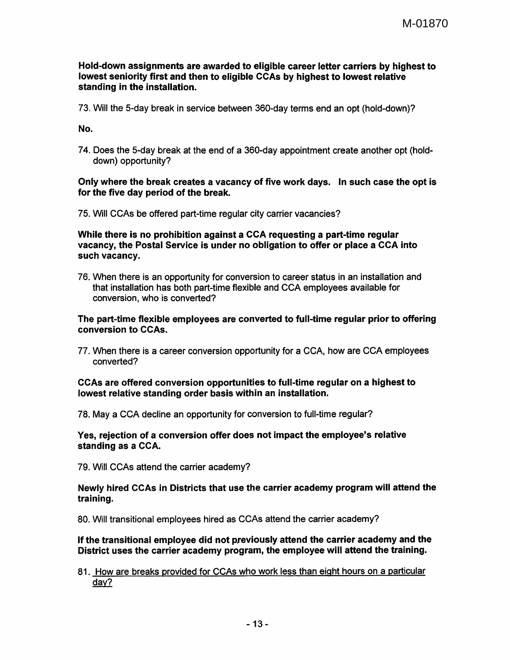#### Hold-down assignments are awarded to eligible career letter carriers by highest to lowest seniority first and then to eligible CCAs by highest to lowest relative standing in the installation.

73. Will the 5-day break in service between 360-day terms end an opt (hold-down)?

No.

7 4. Does the 5-day break at the end of a 360-day appointment create another opt (holddown) opportunity?

## Only where the break creates a vacancy of five work days. In such case the opt is for the five day period of the break.

75. Will CCAs be offered part-time regular city carrier vacancies?

While there is no prohibition against a CCA requesting a part-time regular vacancy, the Postal Service is under no obligation to offer or place a CCA into such vacancy.

76. When there is an opportunity for conversion to career status in an installation and that installation has both part-time flexible and CCA employees available for conversion, who is converted?

## The part-time flexible employees are converted to full-time regular prior to offering conversion to CCAs.

77. When there is a career conversion opportunity for a CCA, how are CCA employees converted?

## CCAs are offered conversion opportunities to full-time regular on a highest to lowest relative standing order basis within an installation.

78. May a CCA decline an opportunity for conversion to full-time regular?

#### Yes, rejection of a conversion offer does not impact the employee's relative standing as a CCA.

79. Will CCAs attend the carrier academy?

## Newly hired CCAs in Districts that use the carrier academy program will attend the training.

80. Will transitional employees hired as CCAs attend the carrier academy?

## If the transitional employee did not previously attend the carrier academy and the District uses the carrier academy program, the employee will attend the training.

81. How are breaks provided for CCAs who work less than eight hours on a particular day?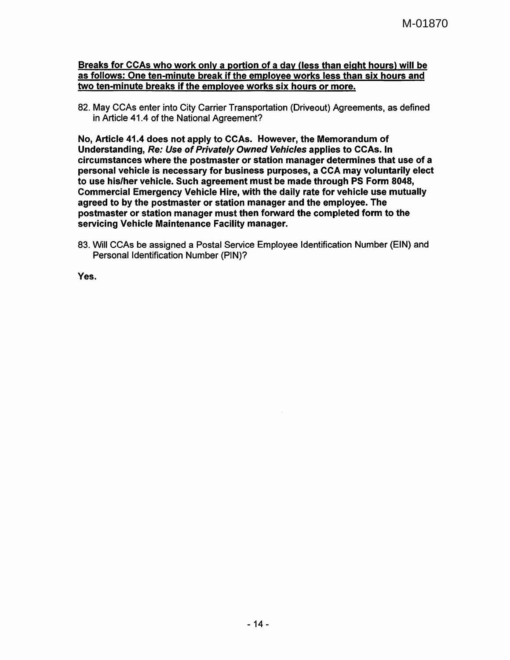## Breaks for CCAs who work only a portion of a day (less than eight hours) will be as follows: One ten-minute break if the employee works less than six hours and two ten-minute breaks if the employee works six hours or more.

82. May CCAs enter into City Carrier Transportation (Driveout) Agreements, as defined in Article 41.4 of the National Agreement?

No, Article 41.4 does not apply to CCAs. However, the Memorandum of Understanding, Re: Use of Privately Owned Vehicles applies to CCAs. In circumstances where the postmaster or station manager determines that use of a personal vehicle is necessary for business purposes, a CCA may voluntarily elect to use his/her vehicle. Such agreement must be made through PS Form 8048, Commercial Emergency Vehicle Hire, with the daily rate for vehicle use mutually agreed to by the postmaster or station manager and the employee. The postmaster or station manager must then forward the completed form to the servicing Vehicle Maintenance Facility manager.

83. Will CCAs be assigned a Postal Service Employee Identification Number (EIN) and Personal Identification Number (PIN)?

Yes.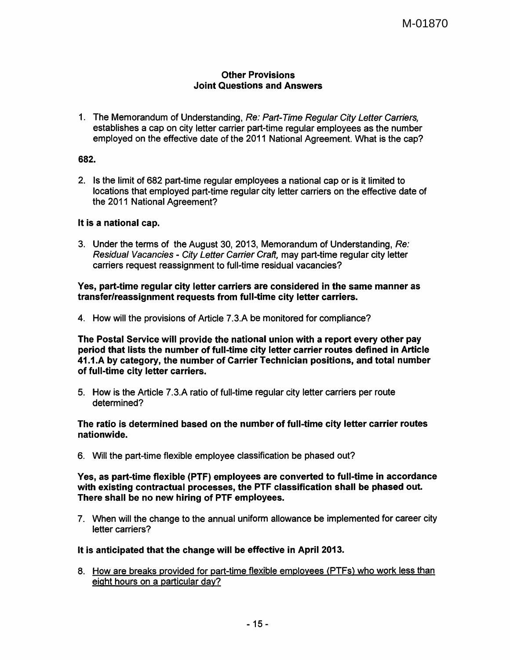# Other Provisions Joint Questions and Answers

1. The Memorandum of Understanding, Re: Part-Time Regular City Letter Carriers, establishes a cap on city letter carrier part-time regular employees as the number employed on the effective date of the 2011 National Agreement. What is the cap?

#### 682.

2. Is the limit of 682 part-time regular employees a national cap or is it limited to locations that employed part-time regular city letter carriers on the effective date of the 2011 National Agreement?

## It is a national cap.

3. Under the terms of the August 30, 2013, Memorandum of Understanding, Re: Residual Vacancies - City Letter Carrier Craft, may part-time regular city letter carriers request reassignment to full-time residual vacancies?

## Yes, part-time regular city letter carriers are considered in the same manner as transfer/reassignment requests from full-time city letter carriers.

4. How will the provisions of Article 7.3.A be monitored for compliance?

The Postal Service will provide the national union with a report every other pay period that lists the number of full-time city letter carrier routes defined in Article 41.1.A by category, the number of Carrier Technician positions, and total number of full-time city letter carriers.

5. How is the Article 7.3.A ratio of full-time regular city letter carriers per route determined?

The ratio is determined based on the number of full-time city letter carrier routes nationwide.

6. Will the part-time flexible employee classification be phased out?

Yes, as part-time flexible (PTF) employees are converted to full-time in accordance with existing contractual processes, the PTF classification shall be phased out. There shall be no new hiring of PTF employees.

7. When will the change to the annual uniform allowance be implemented for career city letter carriers?

#### It is anticipated that the change will be effective in April 2013.

8. How are breaks provided for part-time flexible employees (PTFs) who work less than eight hours on a particular day?